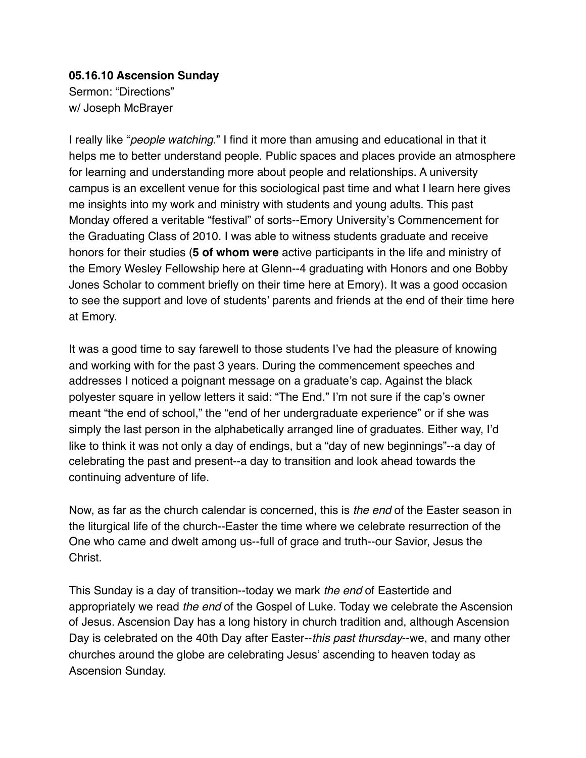## **05.16.10 Ascension Sunday** Sermon: "Directions" w/ Joseph McBrayer

I really like "*people watching*." I find it more than amusing and educational in that it helps me to better understand people. Public spaces and places provide an atmosphere for learning and understanding more about people and relationships. A university campus is an excellent venue for this sociological past time and what I learn here gives me insights into my work and ministry with students and young adults. This past Monday offered a veritable "festival" of sorts--Emory University's Commencement for the Graduating Class of 2010. I was able to witness students graduate and receive honors for their studies (**5 of whom were** active participants in the life and ministry of the Emory Wesley Fellowship here at Glenn--4 graduating with Honors and one Bobby Jones Scholar to comment briefly on their time here at Emory). It was a good occasion to see the support and love of students' parents and friends at the end of their time here at Emory.

It was a good time to say farewell to those students I've had the pleasure of knowing and working with for the past 3 years. During the commencement speeches and addresses I noticed a poignant message on a graduate's cap. Against the black polyester square in yellow letters it said: "The End." I'm not sure if the cap's owner meant "the end of school," the "end of her undergraduate experience" or if she was simply the last person in the alphabetically arranged line of graduates. Either way, I'd like to think it was not only a day of endings, but a "day of new beginnings"--a day of celebrating the past and present--a day to transition and look ahead towards the continuing adventure of life.

Now, as far as the church calendar is concerned, this is *the end* of the Easter season in the liturgical life of the church--Easter the time where we celebrate resurrection of the One who came and dwelt among us--full of grace and truth--our Savior, Jesus the Christ.

This Sunday is a day of transition--today we mark *the end* of Eastertide and appropriately we read *the end* of the Gospel of Luke. Today we celebrate the Ascension of Jesus. Ascension Day has a long history in church tradition and, although Ascension Day is celebrated on the 40th Day after Easter--*this past thursday*--we, and many other churches around the globe are celebrating Jesus' ascending to heaven today as Ascension Sunday.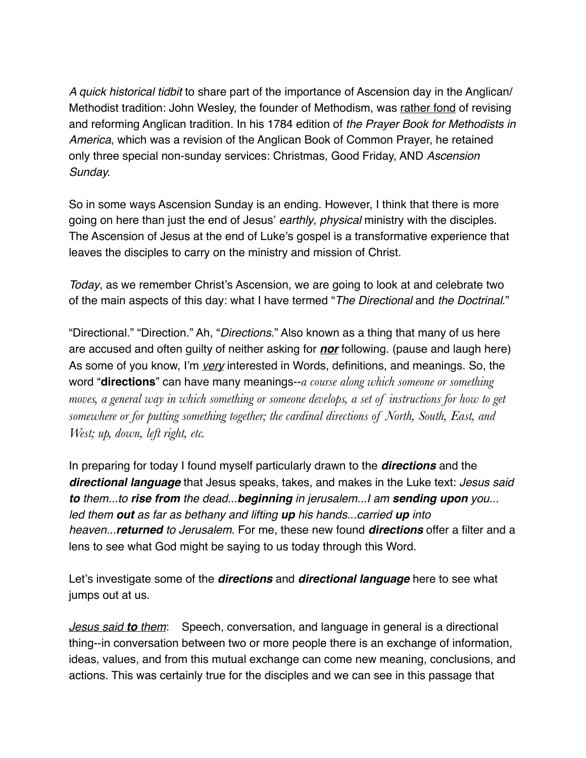*A quick historical tidbit* to share part of the importance of Ascension day in the Anglican/ Methodist tradition: John Wesley, the founder of Methodism, was rather fond of revising and reforming Anglican tradition. In his 1784 edition of *the Prayer Book for Methodists in America*, which was a revision of the Anglican Book of Common Prayer, he retained only three special non-sunday services: Christmas, Good Friday, AND *Ascension Sunday.*

So in some ways Ascension Sunday is an ending. However, I think that there is more going on here than just the end of Jesus' *earthly*, *physical* ministry with the disciples. The Ascension of Jesus at the end of Luke's gospel is a transformative experience that leaves the disciples to carry on the ministry and mission of Christ.

*Today*, as we remember Christ's Ascension, we are going to look at and celebrate two of the main aspects of this day: what I have termed "*The Directional* and *the Doctrinal*."

"Directional." "Direction." Ah, "*Directions*." Also known as a thing that many of us here are accused and often guilty of neither asking for *nor* following. (pause and laugh here) As some of you know, I'm *very* interested in Words, definitions, and meanings. So, the word "**directions**" can have many meanings--*a course along which someone or something moves, a general way in which something or someone develops, a set of instructions for how to get somewhere or for putting something together; the cardinal directions of North, South, East, and West; up, down, left right, etc.* 

In preparing for today I found myself particularly drawn to the *directions* and the *directional language* that Jesus speaks, takes, and makes in the Luke text: *Jesus said to them...to rise from the dead...beginning in jerusalem...I am sending upon you... led them out as far as bethany and lifting up his hands...carried up into heaven...returned to Jerusalem*. For me, these new found *directions* offer a filter and a lens to see what God might be saying to us today through this Word.

Let's investigate some of the *directions* and *directional language* here to see what jumps out at us.

*Jesus said to them*:Speech, conversation, and language in general is a directional thing--in conversation between two or more people there is an exchange of information, ideas, values, and from this mutual exchange can come new meaning, conclusions, and actions. This was certainly true for the disciples and we can see in this passage that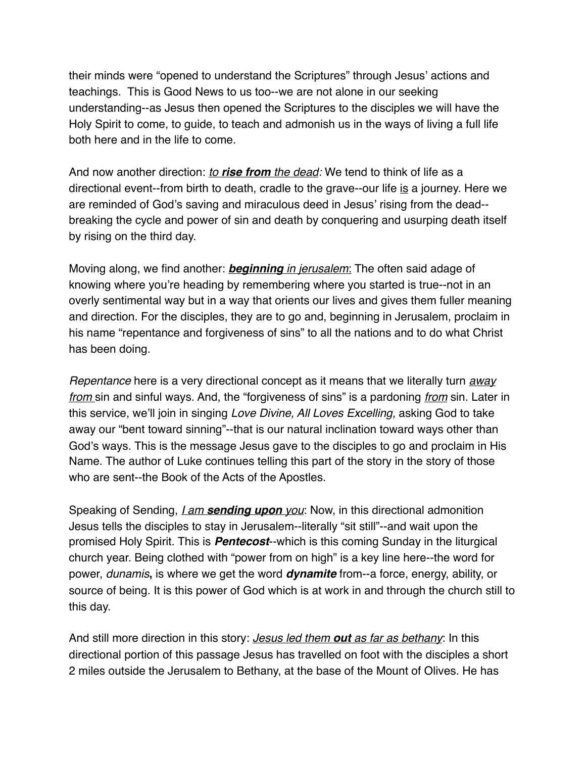their minds were "opened to understand the Scriptures" through Jesus' actions and teachings. This is Good News to us too--we are not alone in our seeking understanding--as Jesus then opened the Scriptures to the disciples we will have the Holy Spirit to come, to guide, to teach and admonish us in the ways of living a full life both here and in the life to come.

And now another direction: *to rise from the dead:* We tend to think of life as a directional event--from birth to death, cradle to the grave--our life is a journey. Here we are reminded of God's saving and miraculous deed in Jesus' rising from the dead- breaking the cycle and power of sin and death by conquering and usurping death itself by rising on the third day.

Moving along, we find another: *beginning in jerusalem*: The often said adage of knowing where you're heading by remembering where you started is true--not in an overly sentimental way but in a way that orients our lives and gives them fuller meaning and direction. For the disciples, they are to go and, beginning in Jerusalem, proclaim in his name "repentance and forgiveness of sins" to all the nations and to do what Christ has been doing.

*Repentance* here is a very directional concept as it means that we literally turn *away from* sin and sinful ways. And, the "forgiveness of sins" is a pardoning *from* sin. Later in this service, we'll join in singing *Love Divine, All Loves Excelling,* asking God to take away our "bent toward sinning"--that is our natural inclination toward ways other than God's ways. This is the message Jesus gave to the disciples to go and proclaim in His Name. The author of Luke continues telling this part of the story in the story of those who are sent--the Book of the Acts of the Apostles.

Speaking of Sending, *I am sending upon you*: Now, in this directional admonition Jesus tells the disciples to stay in Jerusalem--literally "sit still"--and wait upon the promised Holy Spirit. This is *Pentecost*--which is this coming Sunday in the liturgical church year. Being clothed with "power from on high" is a key line here--the word for power, *dunamis***,** is where we get the word *dynamite* from--a force, energy, ability, or source of being. It is this power of God which is at work in and through the church still to this day.

And still more direction in this story: *Jesus led them out as far as bethany*: In this directional portion of this passage Jesus has travelled on foot with the disciples a short 2 miles outside the Jerusalem to Bethany, at the base of the Mount of Olives. He has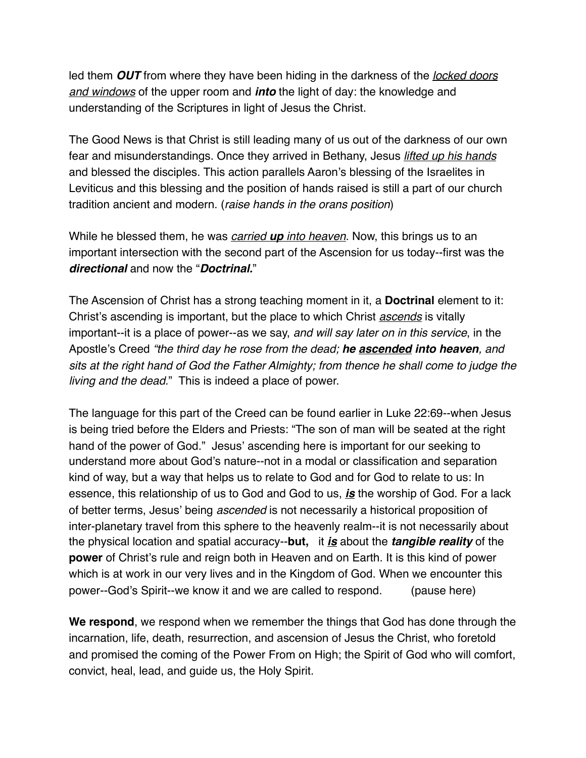led them *OUT* from where they have been hiding in the darkness of the *locked doors and windows* of the upper room and *into* the light of day: the knowledge and understanding of the Scriptures in light of Jesus the Christ.

The Good News is that Christ is still leading many of us out of the darkness of our own fear and misunderstandings. Once they arrived in Bethany, Jesus *lifted up his hands* and blessed the disciples. This action parallels Aaron's blessing of the Israelites in Leviticus and this blessing and the position of hands raised is still a part of our church tradition ancient and modern. (*raise hands in the orans position*)

While he blessed them, he was *carried up into heaven*. Now, this brings us to an important intersection with the second part of the Ascension for us today--first was the *directional* and now the "*Doctrinal.*"

The Ascension of Christ has a strong teaching moment in it, a **Doctrinal** element to it: Christ's ascending is important, but the place to which Christ *ascends* is vitally important--it is a place of power--as we say, *and will say later on in this service*, in the Apostle's Creed *"the third day he rose from the dead; he ascended into heaven, and sits at the right hand of God the Father Almighty; from thence he shall come to judge the living and the dead.*" This is indeed a place of power.

The language for this part of the Creed can be found earlier in Luke 22:69--when Jesus is being tried before the Elders and Priests: "The son of man will be seated at the right hand of the power of God." Jesus' ascending here is important for our seeking to understand more about God's nature--not in a modal or classification and separation kind of way, but a way that helps us to relate to God and for God to relate to us: In essence, this relationship of us to God and God to us, *is* the worship of God. For a lack of better terms, Jesus' being *ascended* is not necessarily a historical proposition of inter-planetary travel from this sphere to the heavenly realm--it is not necessarily about the physical location and spatial accuracy--**but,** it *is* about the *tangible reality* of the **power** of Christ's rule and reign both in Heaven and on Earth. It is this kind of power which is at work in our very lives and in the Kingdom of God. When we encounter this power--God's Spirit--we know it and we are called to respond. (pause here)

**We respond**, we respond when we remember the things that God has done through the incarnation, life, death, resurrection, and ascension of Jesus the Christ, who foretold and promised the coming of the Power From on High; the Spirit of God who will comfort, convict, heal, lead, and guide us, the Holy Spirit.